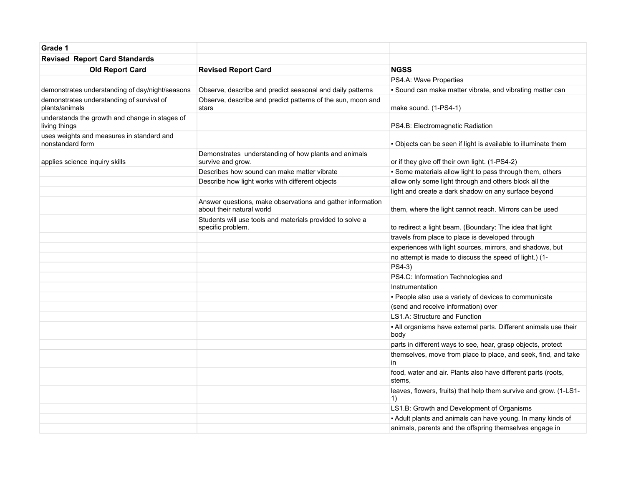| Grade 1                                                         |                                                                                         |                                                                          |
|-----------------------------------------------------------------|-----------------------------------------------------------------------------------------|--------------------------------------------------------------------------|
| <b>Revised Report Card Standards</b>                            |                                                                                         |                                                                          |
| <b>Old Report Card</b>                                          | <b>Revised Report Card</b>                                                              | <b>NGSS</b>                                                              |
|                                                                 |                                                                                         | PS4.A: Wave Properties                                                   |
| demonstrates understanding of day/night/seasons                 | Observe, describe and predict seasonal and daily patterns                               | - Sound can make matter vibrate, and vibrating matter can                |
| demonstrates understanding of survival of<br>plants/animals     | Observe, describe and predict patterns of the sun, moon and<br>stars                    | make sound. (1-PS4-1)                                                    |
| understands the growth and change in stages of<br>living things |                                                                                         | PS4.B: Electromagnetic Radiation                                         |
| uses weights and measures in standard and<br>nonstandard form   |                                                                                         | - Objects can be seen if light is available to illuminate them           |
| applies science inquiry skills                                  | Demonstrates understanding of how plants and animals<br>survive and grow.               | or if they give off their own light. (1-PS4-2)                           |
|                                                                 | Describes how sound can make matter vibrate                                             | - Some materials allow light to pass through them, others                |
|                                                                 | Describe how light works with different objects                                         | allow only some light through and others block all the                   |
|                                                                 |                                                                                         | light and create a dark shadow on any surface beyond                     |
|                                                                 | Answer questions, make observations and gather information<br>about their natural world | them, where the light cannot reach. Mirrors can be used                  |
|                                                                 | Students will use tools and materials provided to solve a<br>specific problem.          | to redirect a light beam. (Boundary: The idea that light                 |
|                                                                 |                                                                                         | travels from place to place is developed through                         |
|                                                                 |                                                                                         | experiences with light sources, mirrors, and shadows, but                |
|                                                                 |                                                                                         | no attempt is made to discuss the speed of light.) (1-                   |
|                                                                 |                                                                                         | PS4-3)                                                                   |
|                                                                 |                                                                                         | PS4.C: Information Technologies and                                      |
|                                                                 |                                                                                         | Instrumentation                                                          |
|                                                                 |                                                                                         | - People also use a variety of devices to communicate                    |
|                                                                 |                                                                                         | (send and receive information) over                                      |
|                                                                 |                                                                                         | <b>LS1.A: Structure and Function</b>                                     |
|                                                                 |                                                                                         | - All organisms have external parts. Different animals use their<br>body |
|                                                                 |                                                                                         | parts in different ways to see, hear, grasp objects, protect             |
|                                                                 |                                                                                         | themselves, move from place to place, and seek, find, and take<br>in     |
|                                                                 |                                                                                         | food, water and air. Plants also have different parts (roots,<br>stems.  |
|                                                                 |                                                                                         | leaves, flowers, fruits) that help them survive and grow. (1-LS1-<br>1)  |
|                                                                 |                                                                                         | LS1.B: Growth and Development of Organisms                               |
|                                                                 |                                                                                         | - Adult plants and animals can have young. In many kinds of              |
|                                                                 |                                                                                         | animals, parents and the offspring themselves engage in                  |